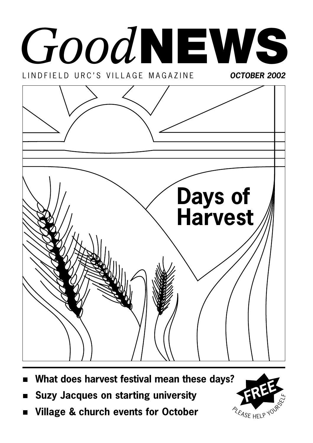

- **What does harvest festival mean these days?**
- **Suzy Jacques on starting university**
- **Village & church events for October**

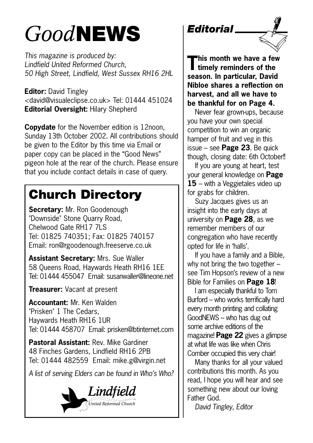## *Good***NEWS**

*This magazine is produced by: Lindfield United Reformed Church, 50 High Street, Lindfield, West Sussex RH16 2HL*

**Editor:** David Tingley <david@visualeclipse.co.uk> Tel: 01444 451024 **Editorial Oversight:** Hilary Shepherd

**Copydate** for the November edition is 12noon, Sunday 13th October 2002. All contributions should be given to the Editor by this time via Email or paper copy can be placed in the "Good News" pigeon hole at the rear of the church. Please ensure that you include contact details in case of query.

### **Church Directory**

**Secretary:** Mr. Ron Goodenough "Downside" Stone Quarry Road, Chelwood Gate RH17 7LS Tel: 01825 740351; Fax: 01825 740157 Email: ron@rgoodenough.freeserve.co.uk

**Assistant Secretary:** Mrs. Sue Waller 58 Queens Road, Haywards Heath RH16 1EE Tel: 01444 455047 Email: susanwaller@lineone.net

**Treasurer:** Vacant at present

**Accountant:** Mr. Ken Walden "Prisken" 1 The Cedars, Haywards Heath RH16 1UR Tel: 01444 458707 Email: prisken@btinternet.com

**Pastoral Assistant:** Rev. Mike Gardiner 48 Finches Gardens, Lindfield RH16 2PB Tel: 01444 482559 Email: mike.g@virgin.net

*A list of serving Elders can be found in Who's Who?*



*Editorial*



**This month we have a few timely reminders of the season. In particular, David Nibloe shares a reflection on harvest, and all we have to be thankful for on Page 4.**

Never fear grown-ups, because you have your own special competition to win an organic hamper of fruit and veg in this issue – see **Page 23**. Be quick though, closing date: 6th October!!

If you are young at heart, test your general knowledge on **Page 15** – with a Veggietales video up for grabs for children.

Suzy Jacques gives us an insight into the early days at university on **Page 28**, as we remember members of our congregation who have recently opted for life in 'halls'.

If you have a family and a Bible, why not bring the two together – see Tim Hopson's review of a new Bible for Families on **Page 18**!

I am especially thankful to Tom Burford – who works terrifically hard every month printing and collating GoodNEWS – who has dug out some archive editions of the magazine! **Page 22** gives a glimpse at what life was like when Chris Comber occupied this very chair!

Many thanks for all your valued contributions this month. As you read, I hope you will hear and see something new about our loving Father God.

*David Tingley, Editor*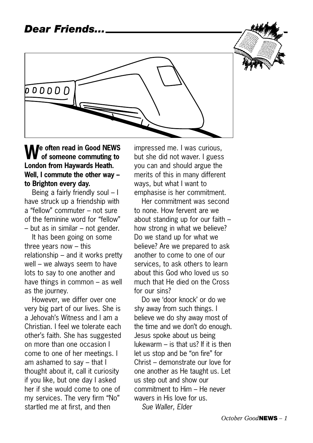#### *Dear Friends...*





#### **We often read in Good NEWS of someone commuting to London from Haywards Heath. Well, I commute the other way – to Brighton every day.**

Being a fairly friendly soul – I have struck up a friendship with a "fellow" commuter – not sure of the feminine word for "fellow" – but as in similar – not gender.

It has been going on some three years now – this relationship – and it works pretty well – we always seem to have lots to say to one another and have things in common – as well as the journey.

However, we differ over one very big part of our lives. She is a Jehovah's Witness and I am a Christian. I feel we tolerate each other's faith. She has suggested on more than one occasion I come to one of her meetings. I am ashamed to say – that I thought about it, call it curiosity if you like, but one day I asked her if she would come to one of my services. The very firm "No" startled me at first, and then

impressed me. I was curious, but she did not waver. I guess you can and should argue the merits of this in many different ways, but what I want to emphasise is her commitment.

Her commitment was second to none. How fervent are we about standing up for our faith – how strong in what we believe? Do we stand up for what we believe? Are we prepared to ask another to come to one of our services, to ask others to learn about this God who loved us so much that He died on the Cross for our sins?

Do we 'door knock' or do we shy away from such things. I believe we do shy away most of the time and we don't do enough. Jesus spoke about us being lukewarm – is that us? If it is then let us stop and be "on fire" for Christ – demonstrate our love for one another as He taught us. Let us step out and show our commitment to Him – He never wavers in His love for us. *Sue Waller, Elder*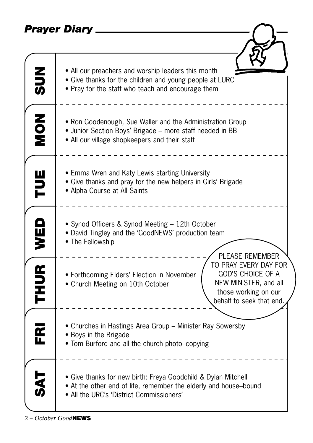#### *Prayer Diary*

|                         | Prayer Diary                                                                                                                                                                                                                       |
|-------------------------|------------------------------------------------------------------------------------------------------------------------------------------------------------------------------------------------------------------------------------|
| $rac{2}{5}$             | • All our preachers and worship leaders this month<br>• Give thanks for the children and young people at LURC<br>• Pray for the staff who teach and encourage them                                                                 |
| <b>NON</b>              | • Ron Goodenough, Sue Waller and the Administration Group<br>• Junior Section Boys' Brigade - more staff needed in BB<br>• All our village shopkeepers and their staff                                                             |
| $\frac{1}{2}$           | • Emma Wren and Katy Lewis starting University<br>• Give thanks and pray for the new helpers in Girls' Brigade<br>• Alpha Course at All Saints                                                                                     |
| WED                     | • Synod Officers & Synod Meeting - 12th October<br>• David Tingley and the 'GoodNEWS' production team<br>• The Fellowship                                                                                                          |
| <b>THUR</b>             | PLEASE REMEMBER<br>TO PRAY EVERY DAY FOR<br><b>GOD'S CHOICE OF A</b><br>• Forthcoming Elders' Election in November<br>NEW MINISTER, and all<br>• Church Meeting on 10th October<br>those working on our<br>behalf to seek that end |
| $\overline{\mathbf{r}}$ | • Churches in Hastings Area Group - Minister Ray Sowersby<br>• Boys in the Brigade<br>• Tom Burford and all the church photo-copying                                                                                               |
|                         | • Give thanks for new birth: Freya Goodchild & Dylan Mitchell<br>• At the other end of life, remember the elderly and house-bound<br>• All the URC's 'District Commissioners'                                                      |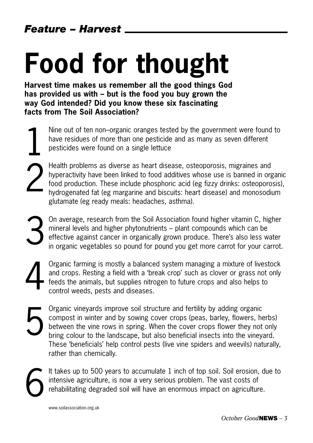## **Food for thought**

**Harvest time makes us remember all the good things God has provided us with – but is the food you buy grown the way God intended? Did you know these six fascinating facts from The Soil Association?**

Nine out of ten non–organic oranges tested by the government were found to have residues of more than one pesticide and as many as seven different pesticides were found on a single lettuce 1

Health problems as diverse as heart disease, osteoporosis, migraines and hyperactivity have been linked to food additives whose use is banned in organic food production. These include phosphoric acid (eg fizzy drinks: osteoporosis), hydrogenated fat (eg margarine and biscuits: heart disease) and monosodium glutamate (eg ready meals: headaches, asthma). 2

On average, research from the Soil Association found higher vitamin C, higher mineral levels and higher phytonutrients – plant compounds which can be effective against cancer in organically grown produce. There's also less water in organic vegetables so pound for pound you get more carrot for your carrot. 3

Organic farming is mostly a balanced system managing a mixture of livestock and crops. Resting a field with a 'break crop' such as clover or grass not only feeds the animals, but supplies nitrogen to future crops and also helps to control weeds, pests and diseases. 4

Organic vineyards improve soil structure and fertility by adding organic compost in winter and by sowing cover crops (peas, barley, flowers, herbs) between the vine rows in spring. When the cover crops flower they not only bring colour to the landscape, but also beneficial insects into the vineyard. These 'beneficials' help control pests (live vine spiders and weevils) naturally, rather than chemically. 5

It takes up to 500 years to accumulate 1 inch of top soil. Soil erosion, due to intensive agriculture, is now a very serious problem. The vast costs of rehabilitating degraded soil will have an enormous impact on agriculture. 6

www.soilassociation.org.uk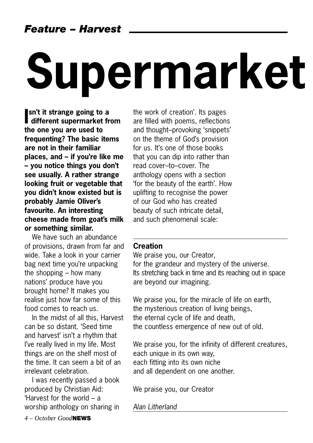# **Supermarket**

**In't it strange going to a**<br> **different supermarket from sn't it strange going to a the one you are used to frequenting? The basic items are not in their familiar places, and – if you're like me – you notice things you don't see usually. A rather strange looking fruit or vegetable that you didn't know existed but is probably Jamie Oliver's favourite. An interesting cheese made from goat's milk or something similar.** 

We have such an abundance of provisions, drawn from far and wide. Take a look in your carrier bag next time you're unpacking the shopping  $-$  how many nations' produce have you brought home? It makes you realise just how far some of this food comes to reach us.

In the midst of all this, Harvest can be so distant. 'Seed time and harvest' isn't a rhythm that I've really lived in my life. Most things are on the shelf most of the time. It can seem a bit of an irrelevant celebration.

I was recently passed a book produced by Christian Aid: 'Harvest for the world – a worship anthology on sharing in

the work of creation'. Its pages are filled with poems, reflections and thought–provoking 'snippets' on the theme of God's provision for us. It's one of those books that you can dip into rather than read cover–to–cover. The anthology opens with a section 'for the beauty of the earth'. How uplifting to recognise the power of our God who has created beauty of such intricate detail, and such phenomenal scale:

#### **Creation**

We praise you, our Creator, for the grandeur and mystery of the universe. Its stretching back in time and its reaching out in space are beyond our imagining.

We praise you, for the miracle of life on earth, the mysterious creation of living beings, the eternal cycle of life and death, the countless emergence of new out of old.

We praise you, for the infinity of different creatures, each unique in its own way, each fitting into its own niche and all dependent on one another.

We praise you, our Creator

*Alan Litherland*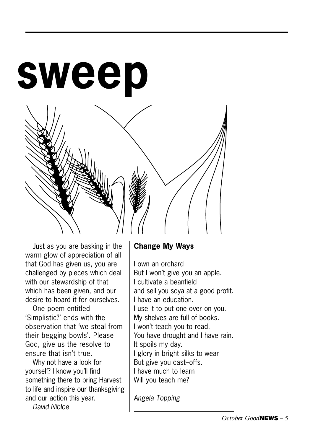

Just as you are basking in the warm glow of appreciation of all that God has given us, you are challenged by pieces which deal with our stewardship of that which has been given, and our desire to hoard it for ourselves.

One poem entitled 'Simplistic?' ends with the observation that 'we steal from their begging bowls'. Please God, give us the resolve to ensure that isn't true.

Why not have a look for yourself? I know you'll find something there to bring Harvest to life and inspire our thanksgiving and our action this year.

*David Nibloe*

#### **Change My Ways**

I own an orchard But I won't give you an apple. I cultivate a beanfield and sell you soya at a good profit. I have an education. I use it to put one over on you. My shelves are full of books. I won't teach you to read. You have drought and I have rain. It spoils my day. I glory in bright silks to wear But give you cast–offs. I have much to learn Will you teach me?

*Angela Topping*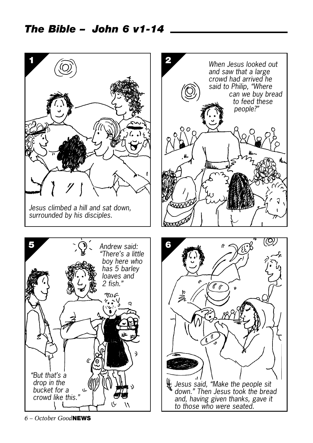

*6 – October Good***NEWS**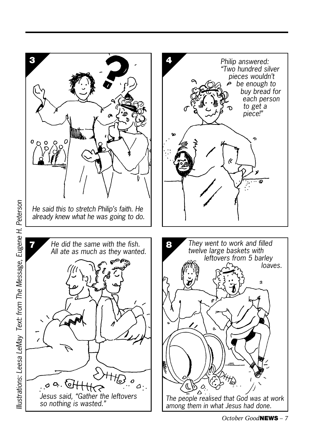

*October Good***NEWS** *– 7*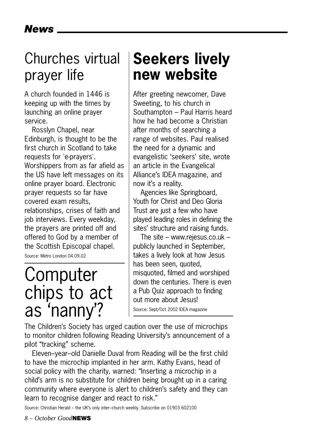### Churches virtual prayer life

A church founded in 1446 is keeping up with the times by launching an online prayer service.

Rosslyn Chapel, near Edinburgh, is thought to be the first church in Scotland to take requests for 'e-prayers'. Worshippers from as far afield as the US have left messages on its online prayer board. Electronic prayer requests so far have covered exam results, relationships, crises of faith and job interviews. Every weekday, the prayers are printed off and offered to God by a member of the Scottish Episcopal chapel.

Source: Metro London 04.09.02

### Computer chips to act as 'nanny'?

### **Seekers lively new website**

After greeting newcomer, Dave Sweeting, to his church in Southampton – Paul Harris heard how he had become a Christian after months of searching a range of websites. Paul realised the need for a dynamic and evangelistic 'seekers' site, wrote an article in the Evangelical Alliance's IDEA magazine, and now it's a reality.

Agencies like Springboard, Youth for Christ and Deo Gloria Trust are just a few who have played leading roles in defining the sites' structure and raising funds.

The site – www.rejesus.co.uk – publicly launched in September, takes a lively look at how Jesus has been seen, quoted, misquoted, filmed and worshiped down the centuries. There is even a Pub Quiz approach to finding out more about Jesus!

Source: Sept/Oct 2002 IDEA magazine

The Children's Society has urged caution over the use of microchips to monitor children following Reading University's announcement of a pilot "tracking" scheme.

Eleven–year–old Danielle Duval from Reading will be the first child to have the microchip implanted in her arm. Kathy Evans, head of social policy with the charity, warned: "Inserting a microchip in a child's arm is no substitute for children being brought up in a caring community where everyone is alert to children's safety and they can learn to recognise danger and react to risk."

Source: Christian Herald – the UK's only inter–church weekly. Subscribe on 01903 602100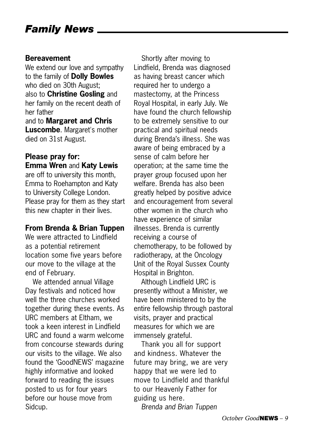#### **Bereavement**

We extend our love and sympathy to the family of **Dolly Bowles** who died on 30th August; also to **Christine Gosling** and her family on the recent death of her father and to **Margaret and Chris Luscombe**. Margaret's mother died on 31st August.

#### **Please pray for: Emma Wren** and **Katy Lewis**

are off to university this month, Emma to Roehampton and Katy to University College London. Please pray for them as they start this new chapter in their lives.

#### **From Brenda & Brian Tuppen**

We were attracted to Lindfield as a potential retirement location some five years before our move to the village at the end of February.

We attended annual Village Day festivals and noticed how well the three churches worked together during these events. As URC members at Eltham, we took a keen interest in Lindfield URC and found a warm welcome from concourse stewards during our visits to the village. We also found the 'GoodNEWS' magazine highly informative and looked forward to reading the issues posted to us for four years before our house move from Sidcup.

Shortly after moving to Lindfield, Brenda was diagnosed as having breast cancer which required her to undergo a mastectomy, at the Princess Royal Hospital, in early July. We have found the church fellowship to be extremely sensitive to our practical and spiritual needs during Brenda's illness. She was aware of being embraced by a sense of calm before her operation; at the same time the prayer group focused upon her welfare. Brenda has also been greatly helped by positive advice and encouragement from several other women in the church who have experience of similar illnesses. Brenda is currently receiving a course of chemotherapy, to be followed by radiotherapy, at the Oncology Unit of the Royal Sussex County Hospital in Brighton.

Although Lindfield URC is presently without a Minister, we have been ministered to by the entire fellowship through pastoral visits, prayer and practical measures for which we are immensely grateful.

Thank you all for support and kindness. Whatever the future may bring, we are very happy that we were led to move to Lindfield and thankful to our Heavenly Father for guiding us here.

*Brenda and Brian Tuppen*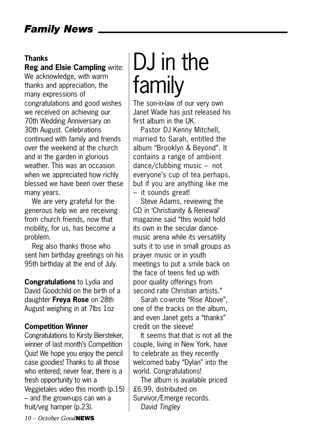#### **Thanks**

#### **Reg and Elsie Campling** write:

We acknowledge, with warm thanks and appreciation, the many expressions of congratulations and good wishes we received on achieving our 70th Wedding Anniversary on 30th August. Celebrations continued with family and friends over the weekend at the church and in the garden in glorious weather. This was an occasion when we appreciated how richly blessed we have been over these many years.

We are very grateful for the generous help we are receiving from church friends, now that mobility, for us, has become a problem.

Reg also thanks those who sent him birthday greetings on his 95th birthday at the end of July.

**Congratulations** to Lydia and David Goodchild on the birth of a daughter **Freya Rose** on 28th August weighing in at 7lbs 1oz

#### **Competition Winner**

Congratulations to Kirsty Biersteker, winner of last month's Competition Quiz! We hope you enjoy the pencil case goodies! Thanks to all those who entered; never fear, there is a fresh opportunity to win a Veggietales video this month (p.15) – and the grown-ups can win a fruit/veg hamper (p.23).

## DJ in the family

The son-in-law of our very own Janet Wade has just released his first album in the UK.

Pastor DJ Kenny Mitchell, married to Sarah, entitled the album "Brooklyn & Beyond". It contains a range of ambient dance/clubbing music – not everyone's cup of tea perhaps, but if you are anything like me – it sounds great!

Steve Adams, reviewing the CD in 'Christianity & Renewal' magazine said "this would hold its own in the secular dancemusic arena while its versatility suits it to use in small groups as prayer music or in youth meetings to put a smile back on the face of teens fed up with poor quality offerings from second rate Christian artists."

Sarah co-wrote "Rise Above", one of the tracks on the album, and even Janet gets a "thanks" credit on the sleeve!

It seems that that is not all the couple, living in New York, have to celebrate as they recently welcomed baby "Dylan" into the world. Congratulations!

The album is available priced £6.99, distributed on Survivor/Emerge records. *David Tingley*

*10 – October Good***NEWS**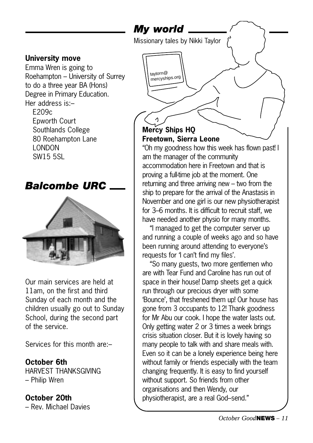#### *My world*

taylorn@ mercyships.org

Missionary tales by Nikki Taylor

#### **University move**

Emma Wren is going to Roehampton – University of Surrey to do a three year BA (Hons) Degree in Primary Education. Her address is:– E209c Epworth Court Southlands College 80 Roehampton Lane LONDON

SW15 5SL





Our main services are held at 11am, on the first and third Sunday of each month and the children usually go out to Sunday School, during the second part of the service.

Services for this month are:–

#### **October 6th**

HARVEST THANKSGIVING – Philip Wren

#### **October 20th**

– Rev. Michael Davies

#### **Mercy Ships HQ Freetown, Sierra Leone**

"Oh my goodness how this week has flown past! I am the manager of the community accommodation here in Freetown and that is proving a full-time job at the moment. One returning and three arriving new – two from the ship to prepare for the arrival of the Anastasis in November and one girl is our new physiotherapist for 3–6 months. It is difficult to recruit staff, we have needed another physio for many months.

"I managed to get the computer server up and running a couple of weeks ago and so have been running around attending to everyone's requests for 'I can't find my files'.

"So many guests, two more gentlemen who are with Tear Fund and Caroline has run out of space in their house! Damp sheets get a quick run through our precious dryer with some 'Bounce', that freshened them up! Our house has gone from 3 occupants to 12! Thank goodness for Mr Abu our cook. I hope the water lasts out. Only getting water 2 or 3 times a week brings crisis situation closer. But it is lovely having so many people to talk with and share meals with. Even so it can be a lonely experience being here without family or friends especially with the team changing frequently. It is easy to find yourself without support. So friends from other organisations and then Wendy, our physiotherapist, are a real God–send."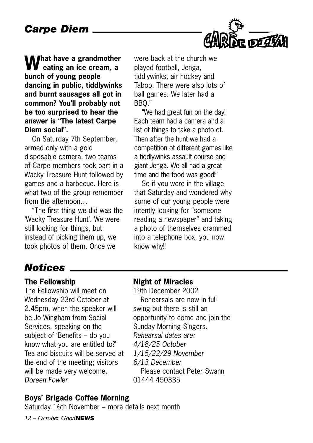

**What have a grandmother eating an ice cream, a bunch of young people dancing in public, tiddlywinks and burnt sausages all got in common? You'll probably not be too surprised to hear the answer is "The latest Carpe Diem social".**

On Saturday 7th September, armed only with a gold disposable camera, two teams of Carpe members took part in a Wacky Treasure Hunt followed by games and a barbecue. Here is what two of the group remember from the afternoon…

"The first thing we did was the 'Wacky Treasure Hunt'. We were still looking for things, but instead of picking them up, we took photos of them. Once we

were back at the church we played football, Jenga, tiddlywinks, air hockey and Taboo. There were also lots of ball games. We later had a BBQ."

"We had great fun on the day! Each team had a camera and a list of things to take a photo of. Then after the hunt we had a competition of different games like a tiddlywinks assault course and giant Jenga. We all had a great time and the food was good!"

So if you were in the village that Saturday and wondered why some of our young people were intently looking for "someone reading a newspaper" and taking a photo of themselves crammed into a telephone box, you now know why!!

#### *Notices*

#### **The Fellowship**

The Fellowship will meet on Wednesday 23rd October at 2.45pm, when the speaker will be Jo Wingham from Social Services, speaking on the subject of 'Benefits – do you know what you are entitled to?' Tea and biscuits will be served at the end of the meeting; visitors will be made very welcome. *Doreen Fowler*

#### **Night of Miracles**

19th December 2002 Rehearsals are now in full swing but there is still an opportunity to come and join the Sunday Morning Singers. *Rehearsal dates are: 4/18/25 October 1/15/22/29 November 6/13 December* Please contact Peter Swann 01444 450335

#### **Boys' Brigade Coffee Morning**

Saturday 16th November – more details next month

*12 – October Good***NEWS**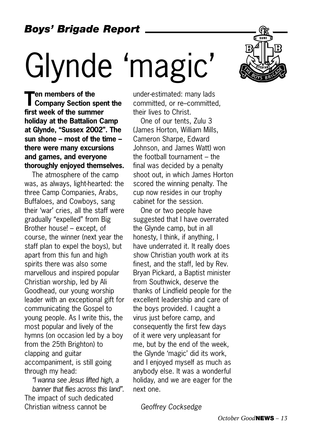*Boys' Brigade Report*

# Glynde 'magic'



**Ten members of the Company Section spent the first week of the summer holiday at the Battalion Camp at Glynde, "Sussex 2002". The sun shone – most of the time – there were many excursions and games, and everyone thoroughly enjoyed themselves.**

The atmosphere of the camp was, as always, light-hearted: the three Camp Companies, Arabs, Buffaloes, and Cowboys, sang their 'war' cries, all the staff were gradually "expelled" from Big Brother house! – except, of course, the winner (next year the staff plan to expel the boys), but apart from this fun and high spirits there was also some marvellous and inspired popular Christian worship, led by Ali Goodhead, our young worship leader with an exceptional gift for communicating the Gospel to young people. As I write this, the most popular and lively of the hymns (on occasion led by a boy from the 25th Brighton) to clapping and guitar accompaniment, is still going through my head:

*"I wanna see Jesus lifted high, a banner that flies across this land".* The impact of such dedicated Christian witness cannot be

under-estimated: many lads committed, or re–committed, their lives to Christ.

One of our tents, Zulu 3 (James Horton, William Mills, Cameron Sharpe, Edward Johnson, and James Watt) won the football tournament – the final was decided by a penalty shoot out, in which James Horton scored the winning penalty. The cup now resides in our trophy cabinet for the session.

One or two people have suggested that I have overrated the Glynde camp, but in all honesty, I think, if anything, I have underrated it. It really does show Christian youth work at its finest, and the staff, led by Rev. Bryan Pickard, a Baptist minister from Southwick, deserve the thanks of Lindfield people for the excellent leadership and care of the boys provided. I caught a virus just before camp, and consequently the first few days of it were very unpleasant for me, but by the end of the week, the Glynde 'magic' did its work, and I enjoyed myself as much as anybody else. It was a wonderful holiday, and we are eager for the next one.

*Geoffrey Cocksedge*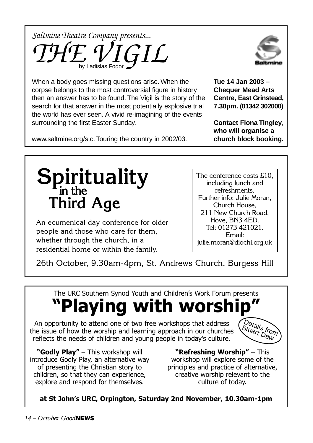*Saltmine Theatre Company presents... THE VIGIL*

by Ladislas Fodor

When a body goes missing questions arise. When the corpse belongs to the most controversial figure in history then an answer has to be found. The Vigil is the story of the search for that answer in the most potentially explosive trial the world has ever seen. A vivid re-imagining of the events surrounding the first Easter Sunday.

www.saltmine.org/stc. Touring the country in 2002/03.



**Tue 14 Jan 2003 – Chequer Mead Arts Centre, East Grinstead, 7.30pm. (01342 302000)**

**Contact Fiona Tingley, who will organise a church block booking.**

## **Spirituality Third Age**

An ecumenical day conference for older people and those who care for them, whether through the church, in a residential home or within the family.

The conference costs £10, including lunch and refreshments. Further info: Julie Moran, Church House, 211 New Church Road, Hove, BN3 4ED. Tel: 01273 421021. Email: julie.moran@diochi.org.uk

26th October, 9.30am-4pm, St. Andrews Church, Burgess Hill

The URC Southern Synod Youth and Children's Work Forum presents

### **"Playing with worship"**

An opportunity to attend one of two free workshops that address the issue of how the worship and learning approach in our churches reflects the needs of children and young people in today's culture.



**"Godly Play"** – This workshop will introduce Godly Play, an alternative way of presenting the Christian story to children, so that they can experience, explore and respond for themselves.

**"Refreshing Worship"** – This workshop will explore some of the principles and practice of alternative, creative worship relevant to the culture of today.

**at St John's URC, Orpington, Saturday 2nd November, 10.30am-1pm**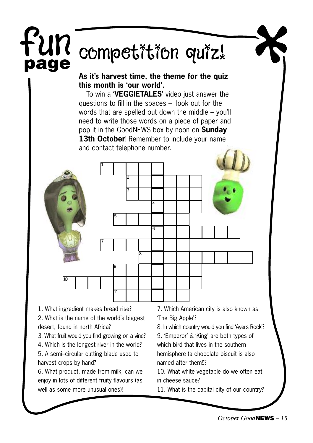### Fun **page** competřtřon quřz!

**As it's harvest time, the theme for the quiz this month is 'our world'.** 

To win a '**VEGGIETALES**' video just answer the questions to fill in the spaces – look out for the words that are spelled out down the middle – you'll need to write those words on a piece of paper and pop it in the GoodNEWS box by noon on **Sunday 13th October!** Remember to include your name and contact telephone number.



1. What ingredient makes bread rise?

2. What is the name of the world's biggest desert, found in north Africa?

- 3. What fruit would you find growing on a vine?
- 4. Which is the longest river in the world?
- 5. A semi–circular cutting blade used to harvest crops by hand?

6. What product, made from milk, can we enjoy in lots of different fruity flavours (as well as some more unusual ones)!

7. Which American city is also known as 'The Big Apple'?

8. In which country would you find 'Ayers Rock'? 9. 'Emperor' & 'King' are both types of which bird that lives in the southern hemisphere (a chocolate biscuit is also named after them!)?

10. What white vegetable do we often eat in cheese sauce?

11. What is the capital city of our country?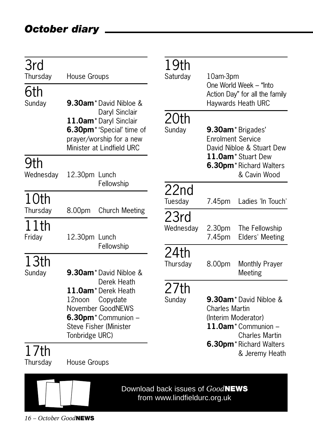| 3rd<br>Thursday            | House Groups                                                                                                                                   |  | 19th                       | 10am-3pm                                                                                                              |                                          |
|----------------------------|------------------------------------------------------------------------------------------------------------------------------------------------|--|----------------------------|-----------------------------------------------------------------------------------------------------------------------|------------------------------------------|
| 6th<br>Sunday              | <b>9.30am</b> *David Nibloe &                                                                                                                  |  | Saturday<br>20th<br>Sunday | One World Week - "Into<br>Action Day" for all the family<br>Haywards Heath URC                                        |                                          |
|                            | Daryl Sinclair<br>11.0am*Daryl Sinclair<br>6.30pm*'Special' time of<br>prayer/worship for a new<br>Minister at Lindfield URC                   |  |                            | 9.30am* Brigades'<br><b>Enrolment Service</b><br>David Nibloe & Stuart Dew                                            |                                          |
| 9th<br>Wednesday           | 12.30pm Lunch                                                                                                                                  |  |                            | 11.0am* Stuart Dew<br><b>6.30pm</b> *Richard Walters<br>& Cavin Wood                                                  |                                          |
| 10th                       | Fellowship                                                                                                                                     |  | 22nd<br>Tuesday            | 7.45pm                                                                                                                | Ladies 'In Touch'                        |
| Thursday<br>11th<br>Friday | <b>Church Meeting</b><br>8.00pm<br>12.30pm Lunch                                                                                               |  | 23rd<br>Wednesday          | 2.30pm<br>7.45pm                                                                                                      | The Fellowship<br>Elders' Meeting        |
| 13th<br>Sunday             | Fellowship<br>9.30am*David Nibloe &                                                                                                            |  | 24th<br>Thursday           | 8.00pm                                                                                                                | Monthly Prayer<br>Meeting                |
|                            | Derek Heath<br>11.0am*Derek Heath<br>12noon<br>Copydate<br>November GoodNEWS<br>6.30pm*Communion -<br>Steve Fisher (Minister<br>Tonbridge URC) |  | 27th<br>Sunday             | 9.30am*David Nibloe &<br><b>Charles Martin</b><br>(Interim Moderator)<br>11.0am* Communion -<br><b>Charles Martin</b> |                                          |
| 1 7th<br>Thursday          | House Groups                                                                                                                                   |  |                            |                                                                                                                       | 6.30pm*Richard Walters<br>& Jeremy Heath |

Download back issues of *Good***NEWS** from www.lindfieldurc.org.uk

*16 – October Good***NEWS**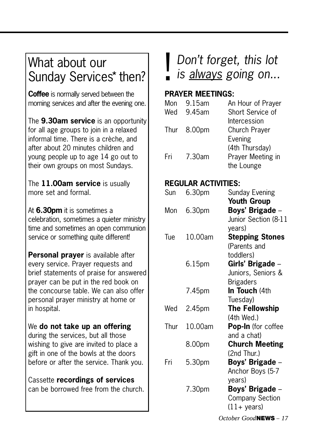### What about our Sunday Services\* then?

**Coffee** is normally served between the morning services and after the evening one.

The **9.30am service** is an opportunity for all age groups to join in a relaxed informal time. There is a crèche, and after about 20 minutes children and young people up to age 14 go out to their own groups on most Sundays.

The **11.00am service** is usually more set and formal.

At **6.30pm** it is sometimes a celebration, sometimes a quieter ministry time and sometimes an open communion service or something quite different!

**Personal prayer** is available after every service. Prayer requests and brief statements of praise for answered prayer can be put in the red book on the concourse table. We can also offer personal prayer ministry at home or in hospital.

We **do not take up an offering** during the services, but all those wishing to give are invited to place a gift in one of the bowls at the doors before or after the service. Thank you.

Cassette **recordings of services** can be borrowed free from the church. !<br>! *Don't forget, this lot is always going on...*

#### **PRAYER MEETINGS:**

| Mon | 9.15am      | An Hour of Prayer |
|-----|-------------|-------------------|
| Wed | 9.45am      | Short Service of  |
|     |             | Intercession      |
|     | Thur 8.00pm | Church Prayer     |
|     |             | Evening           |
|     |             | (4th Thursday)    |
| Fri | 7.30am      | Prayer Meeting in |
|     |             | the Lounge        |

#### **REGULAR ACTIVITIES:**

| Sun  | 6.30pm             | <b>Sunday Evening</b><br><b>Youth Group</b>                             |
|------|--------------------|-------------------------------------------------------------------------|
| Mon  | 6.30pm             | Boys' Brigade -<br>Junior Section (8-11                                 |
| Tue  | 10.00am            | years)<br><b>Stepping Stones</b>                                        |
|      |                    | (Parents and<br>toddlers)                                               |
|      | 6.15 <sub>pm</sub> | Girls' Brigade -<br>Juniors, Seniors &                                  |
|      |                    | <b>Brigaders</b><br>In Touch (4th                                       |
|      | 7.45pm             | Tuesday)                                                                |
| Wed  | 2.45pm             | <b>The Fellowship</b>                                                   |
| Thur | 10.00am            | (4th Wed.)<br>Pop-In (for coffee                                        |
|      | 8.00pm             | and a chat)<br><b>Church Meeting</b>                                    |
| Fri  | 5.30pm             | (2nd Thur.)<br>Boys' Brigade -                                          |
|      | 7.30pm             | Anchor Boys (5-7<br>years)<br>Boys' Brigade -<br><b>Company Section</b> |
|      |                    | $(11 + years)$                                                          |
|      |                    | $October$ $Good$ <b>NEWS</b> $-17$                                      |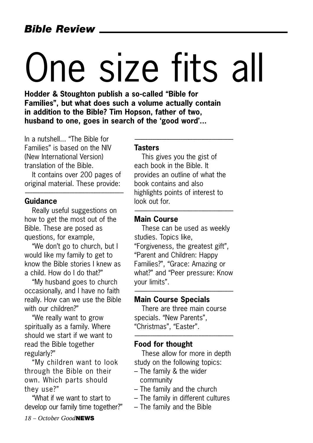# One size fits all

**Hodder & Stoughton publish a so-called "Bible for Families", but what does such a volume actually contain in addition to the Bible? Tim Hopson, father of two, husband to one, goes in search of the 'good word'...**

In a nutshell... "The Bible for Families" is based on the NIV (New International Version) translation of the Bible.

It contains over 200 pages of original material. These provide: --------------------------------------------------------------------

#### **Guidance**

Really useful suggestions on how to get the most out of the Bible. These are posed as questions, for example,

"We don't go to church, but I would like my family to get to know the Bible stories I knew as a child. How do I do that?"

"My husband goes to church occasionally, and I have no faith really. How can we use the Bible with our children?"

"We really want to grow spiritually as a family. Where should we start if we want to read the Bible together regularly?"

"My children want to look through the Bible on their own. Which parts should they use?"

"What if we want to start to develop our family time together?"

#### *18 – October Good***NEWS**

#### **Tasters**

This gives you the gist of each book in the Bible. It provides an outline of what the book contains and also highlights points of interest to look out for.

--------------------------------------------------------------------

--------------------------------------------------------------------

#### **Main Course**

These can be used as weekly studies. Topics like, "Forgiveness, the greatest gift", "Parent and Children: Happy Families?", "Grace: Amazing or what?" and "Peer pressure: Know your limits".

--------------------------------------------------------------------

#### **Main Course Specials**

There are three main course specials. "New Parents", "Christmas", "Easter".

#### **Food for thought**

These allow for more in depth study on the following topics:

--------------------------------------------------------------------

- The family & the wider community
- The family and the church
- The family in different cultures
- The family and the Bible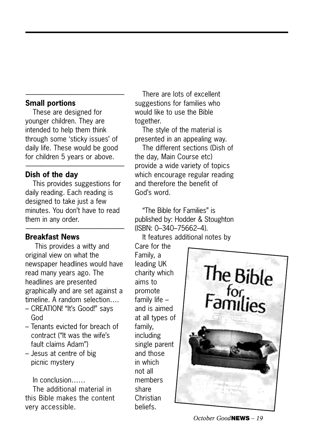#### **Small portions**

These are designed for younger children. They are intended to help them think through some 'sticky issues' of daily life. These would be good for children 5 years or above.

--------------------------------------------------------------------

#### **Dish of the day**

This provides suggestions for daily reading. Each reading is designed to take just a few minutes. You don't have to read them in any order.

--------------------------------------------------------------------

--------------------------------------------------------------------

#### **Breakfast News**

This provides a witty and original view on what the newspaper headlines would have read many years ago. The headlines are presented graphically and are set against a timeline. A random selection….

- CREATION! "It's Good!" says God
- Tenants evicted for breach of contract ("It was the wife's fault claims Adam")
- Jesus at centre of big picnic mystery

In conclusion……

The additional material in this Bible makes the content very accessible.

There are lots of excellent suggestions for families who would like to use the Bible together.

The style of the material is presented in an appealing way.

The different sections (Dish of the day, Main Course etc) provide a wide variety of topics which encourage regular reading and therefore the benefit of God's word.

"The Bible for Families" is published by: Hodder & Stoughton (ISBN: 0–340–75662–4).

It features additional notes by

Care for the Family, a leading UK charity which aims to promote family life – and is aimed at all types of family, including single parent and those in which not all members share Christian beliefs.



*October Good***NEWS** *– 19*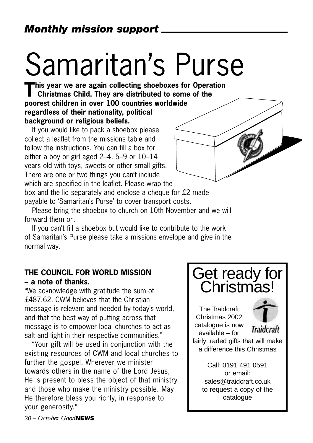## Samaritan's Purse

**This year we are again collecting shoeboxes for Operation Christmas Child. They are distributed to some of the poorest children in over 100 countries worldwide regardless of their nationality, political background or religious beliefs.** 

If you would like to pack a shoebox please collect a leaflet from the missions table and follow the instructions. You can fill a box for either a boy or girl aged 2–4, 5–9 or 10–14 years old with toys, sweets or other small gifts. There are one or two things you can't include which are specified in the leaflet. Please wrap the box and the lid separately and enclose a cheque for £2 made payable to 'Samaritan's Purse' to cover transport costs.

Please bring the shoebox to church on 10th November and we will forward them on.

If you can't fill a shoebox but would like to contribute to the work of Samaritan's Purse please take a missions envelope and give in the normal way.

#### **THE COUNCIL FOR WORLD MISSION – a note of thanks.**

"We acknowledge with gratitude the sum of £487.62. CWM believes that the Christian message is relevant and needed by today's world, and that the best way of putting across that message is to empower local churches to act as salt and light in their respective communities."

"Your gift will be used in conjunction with the existing resources of CWM and local churches to further the gospel. Wherever we minister towards others in the name of the Lord Jesus, He is present to bless the object of that ministry and those who make the ministry possible. May He therefore bless you richly, in response to your generosity."

### Get ready for Christmas!

The Traidcraft Christmas 2002 catalogue is now available – for



**Traidcraft** 

fairly traded gifts that will make a difference this Christmas

> Call: 0191 491 0591 or email: sales@traidcraft.co.uk to request a copy of the catalogue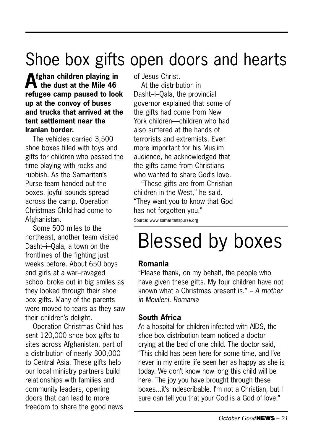### Shoe box gifts open doors and hearts

#### **Afghan children playing in the dust at the Mile 46 refugee camp paused to look up at the convoy of buses and trucks that arrived at the tent settlement near the Iranian border.**

The vehicles carried 3,500 shoe boxes filled with toys and gifts for children who passed the time playing with rocks and rubbish. As the Samaritan's Purse team handed out the boxes, joyful sounds spread across the camp. Operation Christmas Child had come to Afghanistan.

Some 500 miles to the northeast, another team visited Dasht–i–Qala, a town on the frontlines of the fighting just weeks before. About 650 boys and girls at a war–ravaged school broke out in big smiles as they looked through their shoe box gifts. Many of the parents were moved to tears as they saw their children's delight.

Operation Christmas Child has sent 120,000 shoe box gifts to sites across Afghanistan, part of a distribution of nearly 300,000 to Central Asia. These gifts help our local ministry partners build relationships with families and community leaders, opening doors that can lead to more freedom to share the good news of Jesus Christ.

At the distribution in Dasht–i–Qala, the provincial governor explained that some of the gifts had come from New York children—children who had also suffered at the hands of terrorists and extremists. Even more important for his Muslim audience, he acknowledged that the gifts came from Christians who wanted to share God's love.

"These gifts are from Christian children in the West," he said. "They want you to know that God has not forgotten you."

Source: www.samaritanspurse.org

### Blessed by boxes

#### **Romania**

"Please thank, on my behalf, the people who have given these gifts. My four children have not known what a Christmas present is." *– A mother in Movileni, Romania*

#### **South Africa**

At a hospital for children infected with AIDS, the shoe box distribution team noticed a doctor crying at the bed of one child. The doctor said, "This child has been here for some time, and I've never in my entire life seen her as happy as she is today. We don't know how long this child will be here. The joy you have brought through these boxes...it's indescribable. I'm not a Christian, but I sure can tell you that your God is a God of love."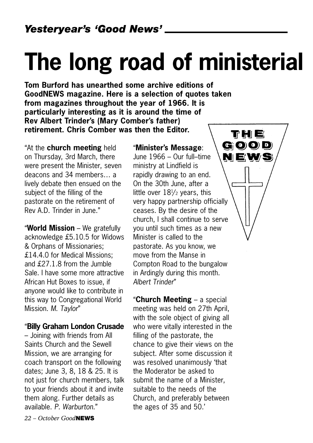## **The long road of ministerial**

**Tom Burford has unearthed some archive editions of GoodNEWS magazine. Here is a selection of quotes taken from magazines throughout the year of 1966. It is particularly interesting as it is around the time of Rev Albert Trinder's (Mary Comber's father) retirement. Chris Comber was then the Editor.**  THIE.

"At the **church meeting** held on Thursday, 3rd March, there were present the Minister, seven deacons and 34 members… a lively debate then ensued on the subject of the filling of the pastorate on the retirement of Rev A.D. Trinder in June."

"**World Mission** – We gratefully acknowledge £5.10.5 for Widows & Orphans of Missionaries; £14.4.0 for Medical Missions; and £27.1.8 from the Jumble Sale. I have some more attractive African Hut Boxes to issue, if anyone would like to contribute in this way to Congregational World Mission. *M. Taylor*"

#### "**Billy Graham London Crusade**

– Joining with friends from All Saints Church and the Sewell Mission, we are arranging for coach transport on the following dates; June 3, 8, 18 & 25. It is not just for church members, talk to your friends about it and invite them along. Further details as available. *P. Warburton*."

"**Minister's Message**:

 $\mathbf{G}$  oo d

NEWS June 1966 – Our full–time ministry at Lindfield is rapidly drawing to an end. On the 30th June, after a little over  $18\frac{1}{2}$  years, this very happy partnership officially ceases. By the desire of the church, I shall continue to serve you until such times as a new Minister is called to the pastorate. As you know, we move from the Manse in Compton Road to the bungalow in Ardingly during this month. *Albert Trinder*"

"**Church Meeting** – a special meeting was held on 27th April, with the sole object of giving all who were vitally interested in the filling of the pastorate, the chance to give their views on the subject. After some discussion it was resolved unanimously 'that the Moderator be asked to submit the name of a Minister, suitable to the needs of the Church, and preferably between the ages of 35 and 50.'

*22 – October Good***NEWS**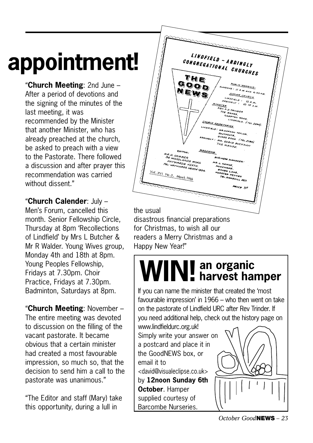## **appointment!**

"**Church Meeting**: 2nd June – After a period of devotions and the signing of the minutes of the last meeting, it was recommended by the Minister that another Minister, who has already preached at the church, be asked to preach with a view to the Pastorate. There followed a discussion and after prayer this recommendation was carried without dissent."

"**Church Calender**: July – Men's Forum, cancelled this month. Senior Fellowship Circle, Thursday at 8pm 'Recollections of Lindfield' by Mrs L Butcher & Mr R Walder. Young Wives group, Monday 4th and 18th at 8pm. Young Peoples Fellowship, Fridays at 7.30pm. Choir Practice, Fridays at 7.30pm. Badminton, Saturdays at 8pm.

"**Church Meeting**: November – The entire meeting was devoted to discussion on the filling of the vacant pastorate. It became obvious that a certain minister had created a most favourable impression, so much so, that the decision to send him a call to the pastorate was unanimous."

"The Editor and staff (Mary) take this opportunity, during a lull in



disastrous financial preparations for Christmas, to wish all our readers a Merry Christmas and a Happy New Year!"

## **WIN! an organic harvest hamper**

If you can name the minister that created the 'most favourable impression' in 1966 – who then went on take on the pastorate of Lindfield URC after Rev Trinder. If you need additional help, check out the history page on

www.lindfieldurc.org.uk! Simply write your answer on a postcard and place it in the GoodNEWS box, or email it to <david@visualeclipse.co.uk> by **12noon Sunday 6th**

**October**. Hamper supplied courtesy of Barcombe Nurseries.

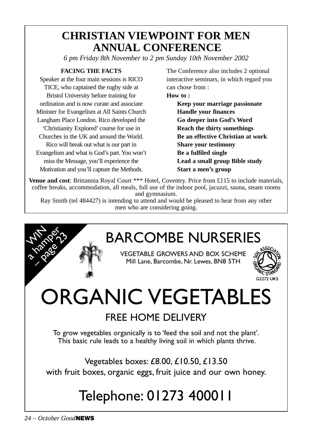#### **CHRISTIAN VIEWPOINT FOR MEN ANNUAL CONFERENCE**

*6 pm Friday 8th November to 2 pm Sunday 10th November 2002*

#### **FACING THE FACTS**

Speaker at the four main sessions is RICO TICE, who captained the rugby side at Bristol University before training for ordination and is now curate and associate Minister for Evangelism at All Saints Church Langham Place London. Rico developed the 'Christianity Explored' course for use in Churches in the UK and around the World. Rico will break out what is our part in Evangelism and what is God's part. You won't miss the Message, you'll experience the Motivation and you'll capture the Methods.

The Conference also includes 2 optional interactive seminars, in which regard you can chose from :

**How to :**

**Keep your marriage passionate Handle your finances Go deeper into God's Word Reach the thirty somethings Be an effective Christian at work Share your testimony Be a fulfiled single Lead a small group Bible study Start a men's group** 

**Venue and cost**: Brittannia Royal Court \*\*\* Hotel, Coventry. Price from £115 to include materials, coffee breaks, accommodation, all meals, full use of the indoor pool, jacuzzi, sauna, steam rooms and gymnasium.

Ray Smith (tel 484427) is intending to attend and would be pleased to hear from any other men who are considering going.

### BARCOMBE NURSERIES

VEGETABLE GROWERS AND BOX SCHEME Mill Lane, Barcombe, Nr. Lewes, BN8 5TH



ORGANIC VEGETABLES FREE HOME DELIVERY

To grow vegetables organically is to 'feed the soil and not the plant'. This basic rule leads to a healthy living soil in which plants thrive.

Vegetables boxes: £8.00, £10.50, £13.50 with fruit boxes, organic eggs, fruit juice and our own honey.

### Telephone: 01273 400011

**WIN** a Hydrock 11-126-13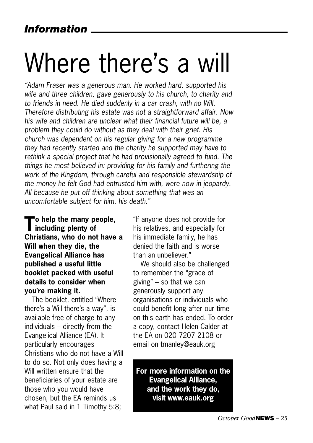## Where there's a will

*"Adam Fraser was a generous man. He worked hard, supported his wife and three children, gave generously to his church, to charity and to friends in need. He died suddenly in a car crash, with no Will. Therefore distributing his estate was not a straightforward affair. Now his wife and children are unclear what their financial future will be, a problem they could do without as they deal with their grief. His church was dependent on his regular giving for a new programme they had recently started and the charity he supported may have to rethink a special project that he had provisionally agreed to fund. The things he most believed in: providing for his family and furthering the work of the Kingdom, through careful and responsible stewardship of the money he felt God had entrusted him with, were now in jeopardy. All because he put off thinking about something that was an uncomfortable subject for him, his death."*

**To help the many people, including plenty of Christians, who do not have a Will when they die, the Evangelical Alliance has published a useful little booklet packed with useful details to consider when you're making it.**

The booklet, entitled "Where there's a Will there's a way", is available free of charge to any individuals – directly from the Evangelical Alliance (EA). It particularly encourages Christians who do not have a Will to do so. Not only does having a Will written ensure that the beneficiaries of your estate are those who you would have chosen, but the EA reminds us what Paul said in 1 Timothy 5:8;

"If anyone does not provide for his relatives, and especially for his immediate family, he has denied the faith and is worse than an unbeliever."

We should also be challenged to remember the "grace of giving" – so that we can generously support any organisations or individuals who could benefit long after our time on this earth has ended. To order a copy, contact Helen Calder at the EA on 020 7207 2108 or email on tmanley@eauk.org

**For more information on the Evangelical Alliance, and the work they do, visit www.eauk.org**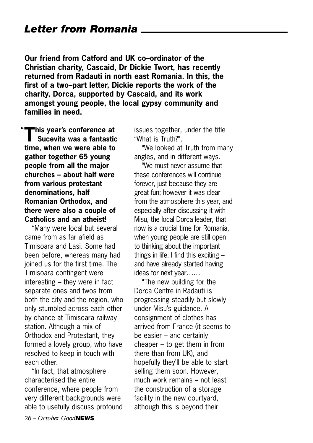**Our friend from Catford and UK co–ordinator of the Christian charity, Cascaid, Dr Dickie Twort, has recently returned from Radauti in north east Romania. In this, the first of a two–part letter, Dickie reports the work of the charity, Dorca, supported by Cascaid, and its work amongst young people, the local gypsy community and families in need.**

This year's conference at **Sucevita was a fantastic time, when we were able to gather together 65 young people from all the major churches – about half were from various protestant denominations, half Romanian Orthodox, and there were also a couple of Catholics and an atheist! "**

"Many were local but several came from as far afield as Timisoara and Lasi. Some had been before, whereas many had joined us for the first time. The Timisoara contingent were interesting – they were in fact separate ones and twos from both the city and the region, who only stumbled across each other by chance at Timisoara railway station. Although a mix of Orthodox and Protestant, they formed a lovely group, who have resolved to keep in touch with each other.

"In fact, that atmosphere characterised the entire conference, where people from very different backgrounds were able to usefully discuss profound issues together, under the title "What is Truth?".

"We looked at Truth from many angles, and in different ways.

"We must never assume that these conferences will continue forever, just because they are great fun; however it was clear from the atmosphere this year, and especially after discussing it with Misu, the local Dorca leader, that now is a crucial time for Romania, when young people are still open to thinking about the important things in life. I find this exciting – and have already started having ideas for next year……

"The new building for the Dorca Centre in Radauti is progressing steadily but slowly under Misu's guidance. A consignment of clothes has arrived from France (it seems to be easier – and certainly cheaper – to get them in from there than from UK), and hopefully they'll be able to start selling them soon. However, much work remains – not least the construction of a storage facility in the new courtyard, although this is beyond their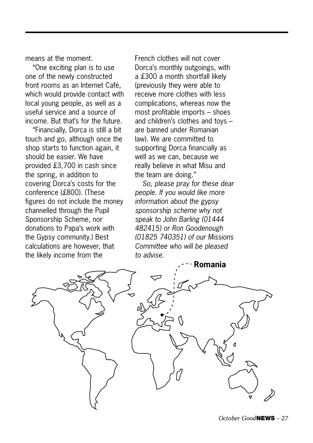means at the moment.

"One exciting plan is to use one of the newly constructed front rooms as an Internet Café, which would provide contact with local young people, as well as a useful service and a source of income. But that's for the future.

"Financially, Dorca is still a bit touch and go, although once the shop starts to function again, it should be easier. We have provided £3,700 in cash since the spring, in addition to covering Dorca's costs for the conference (£800). (These figures do not include the money channelled through the Pupil Sponsorship Scheme, nor donations to Papa's work with the Gypsy community.) Best calculations are however, that the likely income from the

French clothes will not cover Dorca's monthly outgoings, with a £300 a month shortfall likely (previously they were able to receive more clothes with less complications, whereas now the most profitable imports – shoes and children's clothes and toys – are banned under Romanian law). We are committed to supporting Dorca financially as well as we can, because we really believe in what Misu and the team are doing."

*So, please pray for these dear people. If you would like more information about the gypsy sponsorship scheme why not speak to John Barling (01444 482415) or Ron Goodenough (01825 740351) of our Missions Committee who will be pleased to advise.*

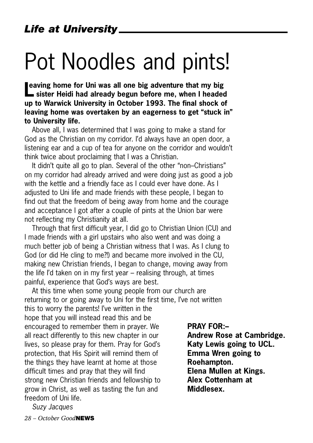## Pot Noodles and pints!

**Leaving home for Uni was all one big adventure that my big sister Heidi had already begun before me, when I headed eaving home for Uni was all one big adventure that my big up to Warwick University in October 1993. The final shock of leaving home was overtaken by an eagerness to get "stuck in" to University life.**

Above all, I was determined that I was going to make a stand for God as the Christian on my corridor. I'd always have an open door, a listening ear and a cup of tea for anyone on the corridor and wouldn't think twice about proclaiming that I was a Christian.

It didn't quite all go to plan. Several of the other "non–Christians" on my corridor had already arrived and were doing just as good a job with the kettle and a friendly face as I could ever have done. As I adjusted to Uni life and made friends with these people, I began to find out that the freedom of being away from home and the courage and acceptance I got after a couple of pints at the Union bar were not reflecting my Christianity at all.

Through that first difficult year, I did go to Christian Union (CU) and I made friends with a girl upstairs who also went and was doing a much better job of being a Christian witness that I was. As I clung to God (or did He cling to me?!) and became more involved in the CU, making new Christian friends, I began to change, moving away from the life I'd taken on in my first year – realising through, at times painful, experience that God's ways are best.

At this time when some young people from our church are returning to or going away to Uni for the first time, I've not written

this to worry the parents! I've written in the hope that you will instead read this and be encouraged to remember them in prayer. We all react differently to this new chapter in our lives, so please pray for them. Pray for God's protection, that His Spirit will remind them of the things they have learnt at home at those difficult times and pray that they will find strong new Christian friends and fellowship to grow in Christ, as well as tasting the fun and freedom of Uni life.

**PRAY FOR:–**

**Andrew Rose at Cambridge. Katy Lewis going to UCL. Emma Wren going to Roehampton. Elena Mullen at Kings. Alex Cottenham at Middlesex.**

*28 – October Good***NEWS** *Suzy Jacques*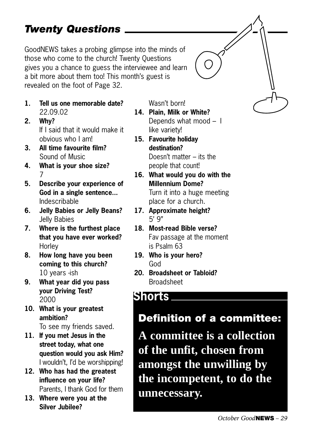#### *Twenty Questions*

GoodNEWS takes a probing glimpse into the minds of those who come to the church! Twenty Questions gives you a chance to guess the interviewee and learn a bit more about them too! This month's guest is revealed on the foot of Page 32.

- **1. Tell us one memorable date?** 22.09.02
- **2. Why?** If I said that it would make it obvious who I am!
- **3. All time favourite film?** Sound of Music
- **4. What is your shoe size?** 7
- **5. Describe your experience of God in a single sentence...** Indescribable
- **6. Jelly Babies or Jelly Beans?** Jelly Babies
- **7. Where is the furthest place that you have ever worked?** Horley
- **8. How long have you been coming to this church?** 10 years -ish
- **9. What year did you pass your Driving Test?** 2000
- **10. What is your greatest ambition?** To see my friends saved.
- **11. If you met Jesus in the street today, what one question would you ask Him?** I wouldn't, I'd be worshipping!
- **12. Who has had the greatest influence on your life?** Parents, I thank God for them
- **13. Where were you at the Silver Jubilee?**

Wasn't born!

- **14. Plain, Milk or White?** Depends what mood – I like variety!
- **15. Favourite holiday destination?** Doesn't matter – its the people that count!
- **16. What would you do with the Millennium Dome?** Turn it into a huge meeting place for a church.
- **17. Approximate height?** 5' 9"
- **18. Most-read Bible verse?** Fav passage at the moment is Psalm 63
- **19. Who is your hero?** God
- **20. Broadsheet or Tabloid? Broadsheet**

#### **Shorts**

#### **Definition of a committee:**

**A committee is a collection of the unfit, chosen from amongst the unwilling by the incompetent, to do the unnecessary.**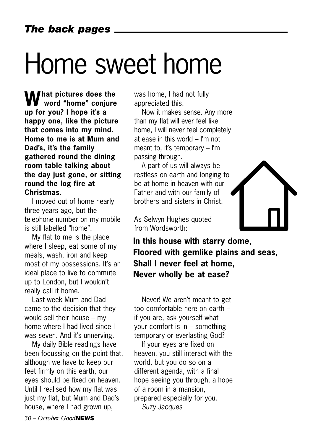## Home sweet home

**What pictures does the word "home" conjure up for you? I hope it's a happy one, like the picture that comes into my mind. Home to me is at Mum and Dad's, it's the family gathered round the dining room table talking about the day just gone, or sitting round the log fire at Christmas.**

I moved out of home nearly three years ago, but the telephone number on my mobile is still labelled "home".

My flat to me is the place where I sleep, eat some of my meals, wash, iron and keep most of my possessions. It's an ideal place to live to commute up to London, but I wouldn't really call it home.

Last week Mum and Dad came to the decision that they would sell their house – my home where I had lived since I was seven. And it's unnerving.

My daily Bible readings have been focussing on the point that, although we have to keep our feet firmly on this earth, our eyes should be fixed on heaven. Until I realised how my flat was just my flat, but Mum and Dad's house, where I had grown up,

was home, I had not fully appreciated this.

Now it makes sense. Any more than my flat will ever feel like home, I will never feel completely at ease in this world – I'm not meant to, it's temporary – I'm passing through.

A part of us will always be restless on earth and longing to be at home in heaven with our Father and with our family of brothers and sisters in Christ.

As Selwyn Hughes quoted from Wordsworth:



**In this house with starry dome, Floored with gemlike plains and seas, Shall I never feel at home, Never wholly be at ease?**

Never! We aren't meant to get too comfortable here on earth – if you are, ask yourself what your comfort is in – something temporary or everlasting God?

If your eyes are fixed on heaven, you still interact with the world, but you do so on a different agenda, with a final hope seeing you through, a hope of a room in a mansion, prepared especially for you. *Suzy Jacques*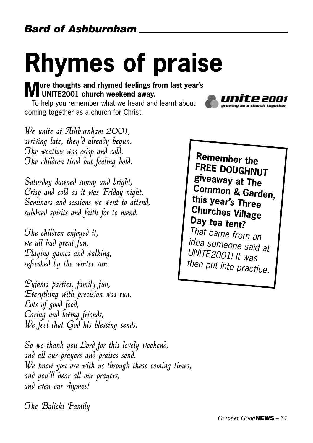## **Rhymes of praise**

#### **More thoughts and rhymed feelings from last year's UNITE2001 church weekend away.**

To help you remember what we heard and learnt about coming together as a church for Christ.



We unite at Ashburnham 2001, arriving late, they'd already begun. The weather was crisp and cold. The children tired but feeling bold.

Saturday dawned sunny and bright, Crisp and cold as it was Friday night. Seminars and sessions we went to attend, subdued spirits and faith for to mend.

The children enjoyed it, we all had great fun, Playing games and walking, refreshed by the winter sun.

Pyjama parties, family fun, Everything with precision was run. Lots of good food, Caring and loving friends, We feel that God his blessing sends.

So we thank you Lord for this lovely weekend, and all our prayers and praises send. We know you are with us through these coming times, and you'll hear all our prayers, and even our rhymes!

The Balicki Family

**Remember the FREE DOUGHNUT giveaway at The Common & Garden, this year's Three Churches Village Day tea tent?** *That came from an idea someone said at UNITE2001! It was then put into practice.*